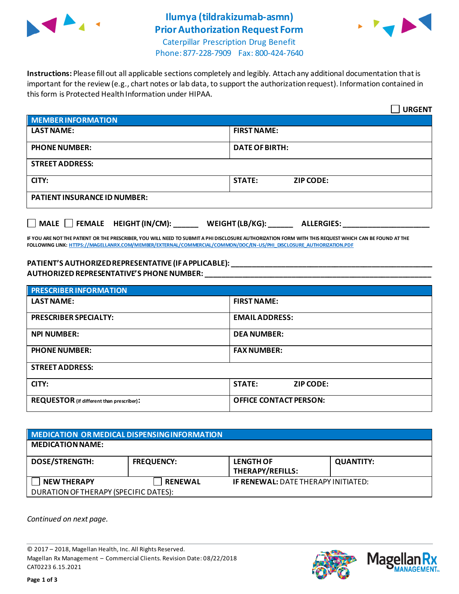

## **Ilumya (tildrakizumab-asmn) Prior Authorization Request Form**



Caterpillar Prescription Drug Benefit Phone: 877-228-7909 Fax: 800-424-7640

**Instructions:** Please fill out all applicable sections completely and legibly. Attach any additional documentation that is important for the review (e.g., chart notes or lab data, to support the authorization request). Information contained in this form is Protected Health Information under HIPAA.

|                                                                                   | <b>URGENT</b>                     |  |  |
|-----------------------------------------------------------------------------------|-----------------------------------|--|--|
| <b>MEMBER INFORMATION</b>                                                         |                                   |  |  |
| <b>LAST NAME:</b>                                                                 | <b>FIRST NAME:</b>                |  |  |
| <b>PHONE NUMBER:</b>                                                              | <b>DATE OF BIRTH:</b>             |  |  |
| <b>STREET ADDRESS:</b>                                                            |                                   |  |  |
| CITY:                                                                             | <b>STATE:</b><br><b>ZIP CODE:</b> |  |  |
| <b>PATIENT INSURANCE ID NUMBER:</b>                                               |                                   |  |  |
| $\Box$ MALE $\Box$ FEMALE HEIGHT (IN/CM):<br>WEIGHT (LB/KG):<br><b>ALLERGIES:</b> |                                   |  |  |

**IF YOU ARE NOT THE PATIENT OR THE PRESCRIBER, YOU WILL NEED TO SUBMIT A PHI DISCLOSURE AUTHORIZATION FORM WITH THIS REQUEST WHICH CAN BE FOUND AT THE FOLLOWING LINK[: HTTPS://MAGELLANRX.COM/MEMBER/EXTERNAL/COMMERCIAL/COMMON/DOC/EN-US/PHI\\_DISCLOSURE\\_AUTHORIZATION.PDF](https://magellanrx.com/member/external/commercial/common/doc/en-us/PHI_Disclosure_Authorization.pdf)**

## **PATIENT'S AUTHORIZED REPRESENTATIVE (IF APPLICABLE): \_\_\_\_\_\_\_\_\_\_\_\_\_\_\_\_\_\_\_\_\_\_\_\_\_\_\_\_\_\_\_\_\_\_\_\_\_\_\_\_\_\_\_\_\_\_\_\_\_ AUTHORIZED REPRESENTATIVE'S PHONE NUMBER: \_\_\_\_\_\_\_\_\_\_\_\_\_\_\_\_\_\_\_\_\_\_\_\_\_\_\_\_\_\_\_\_\_\_\_\_\_\_\_\_\_\_\_\_\_\_\_\_\_\_\_\_\_\_\_**

| <b>PRESCRIBER INFORMATION</b>             |                                   |  |
|-------------------------------------------|-----------------------------------|--|
| <b>LAST NAME:</b>                         | <b>FIRST NAME:</b>                |  |
| <b>PRESCRIBER SPECIALTY:</b>              | <b>EMAIL ADDRESS:</b>             |  |
| <b>NPI NUMBER:</b>                        | <b>DEA NUMBER:</b>                |  |
| <b>PHONE NUMBER:</b>                      | <b>FAX NUMBER:</b>                |  |
| <b>STREET ADDRESS:</b>                    |                                   |  |
| CITY:                                     | <b>STATE:</b><br><b>ZIP CODE:</b> |  |
| REQUESTOR (if different than prescriber): | <b>OFFICE CONTACT PERSON:</b>     |  |

| MEDICATION OR MEDICAL DISPENSING INFORMATION |                   |                                             |                  |  |  |
|----------------------------------------------|-------------------|---------------------------------------------|------------------|--|--|
| <b>MEDICATION NAME:</b>                      |                   |                                             |                  |  |  |
| <b>DOSE/STRENGTH:</b>                        | <b>FREQUENCY:</b> | <b>LENGTH OF</b><br><b>THERAPY/REFILLS:</b> | <b>QUANTITY:</b> |  |  |
| <b>NEW THERAPY</b>                           | <b>RENEWAL</b>    | <b>IF RENEWAL: DATE THERAPY INITIATED:</b>  |                  |  |  |
| DURATION OF THERAPY (SPECIFIC DATES):        |                   |                                             |                  |  |  |

*Continued on next page.*

© 2017 – 2018, Magellan Health, Inc. All Rights Reserved. Magellan Rx Management – Commercial Clients. Revision Date: 08/22/2018 CAT0223 6.15.2021



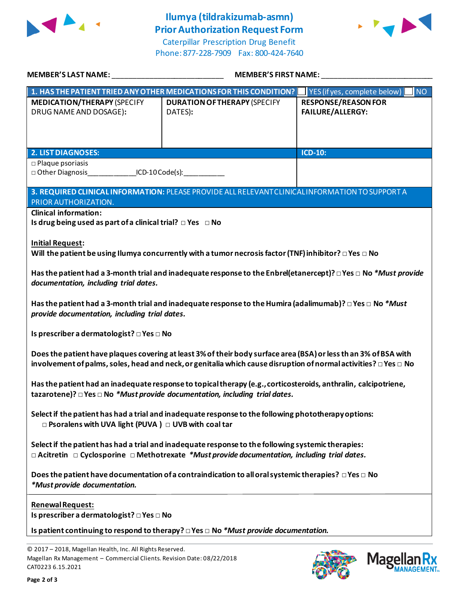

## **Ilumya (tildrakizumab-asmn) Prior Authorization Request Form**

Caterpillar Prescription Drug Benefit Phone: 877-228-7909 Fax: 800-424-7640



| <b>MEMBER'S LAST NAME:</b>                                                                                                                                                                                                                     | <b>MEMBER'S FIRST NAME:</b>                                                                                      |                                                                  |  |  |
|------------------------------------------------------------------------------------------------------------------------------------------------------------------------------------------------------------------------------------------------|------------------------------------------------------------------------------------------------------------------|------------------------------------------------------------------|--|--|
|                                                                                                                                                                                                                                                | 1. HAS THE PATIENT TRIED ANY OTHER MEDICATIONS FOR THIS CONDITION?                                               | $\vert$ YES (if yes, complete below) $\vert$<br>INO <sub>1</sub> |  |  |
| <b>MEDICATION/THERAPY (SPECIFY</b><br>DRUG NAME AND DOSAGE):                                                                                                                                                                                   | <b>DURATION OF THERAPY (SPECIFY</b><br>DATES):                                                                   | <b>RESPONSE/REASON FOR</b><br><b>FAILURE/ALLERGY:</b>            |  |  |
| <b>2. LIST DIAGNOSES:</b>                                                                                                                                                                                                                      |                                                                                                                  | <b>ICD-10:</b>                                                   |  |  |
| $\square$ Plaque psoriasis<br>□ Other Diagnosis________________ICD-10 Code(s):____________                                                                                                                                                     |                                                                                                                  |                                                                  |  |  |
| PRIOR AUTHORIZATION.                                                                                                                                                                                                                           | 3. REQUIRED CLINICAL INFORMATION: PLEASE PROVIDE ALL RELEVANT CLINICAL INFORMATION TO SUPPORT A                  |                                                                  |  |  |
| <b>Clinical information:</b><br>Is drug being used as part of a clinical trial? $\Box$ Yes $\Box$ No                                                                                                                                           |                                                                                                                  |                                                                  |  |  |
| <b>Initial Request:</b>                                                                                                                                                                                                                        | Will the patient be using Ilumya concurrently with a tumor necrosis factor (TNF) inhibitor? $\Box$ Yes $\Box$ No |                                                                  |  |  |
| Has the patient had a 3-month trial and inadequate response to the Enbrel(etanercept)? □ Yes □ No *Must provide<br>documentation, including trial dates.                                                                                       |                                                                                                                  |                                                                  |  |  |
| Has the patient had a 3-month trial and inadequate response to the Humira (adalimumab)? $\Box$ Yes $\Box$ No $*$ Must<br>provide documentation, including trial dates.                                                                         |                                                                                                                  |                                                                  |  |  |
| Is prescriber a dermatologist? □ Yes □ No                                                                                                                                                                                                      |                                                                                                                  |                                                                  |  |  |
| Does the patient have plaques covering at least 3% of their body surface area (BSA) or less th an 3% of BSA with<br>involvement of palms, soles, head and neck, or genitalia which cause disruption of normal activities? $\Box$ Yes $\Box$ No |                                                                                                                  |                                                                  |  |  |
| Has the patient had an inadequate response to topical therapy (e.g., corticosteroids, anthralin, calcipotriene,<br>tazarotene)? $\Box$ Yes $\Box$ No *Must provide documentation, including trial dates.                                       |                                                                                                                  |                                                                  |  |  |
| $\Box$ Psoralens with UVA light (PUVA) $\Box$ UVB with coal tar                                                                                                                                                                                | Select if the patient has had a trial and inadequate response to the following phototherapy options:             |                                                                  |  |  |
| Select if the patient has had a trial and inadequate response to the following systemic therapies:<br>$\Box$ Acitretin $\Box$ Cyclosporine $\Box$ Methotrexate *Must provide documentation, including trial dates.                             |                                                                                                                  |                                                                  |  |  |
| *Must provide documentation.                                                                                                                                                                                                                   | Does the patient have documentation of a contraindication to all oral systemic therapies? $\Box$ Yes $\Box$ No   |                                                                  |  |  |
| Renewal Request:<br>Is prescriber a dermatologist? □ Yes □ No                                                                                                                                                                                  |                                                                                                                  |                                                                  |  |  |
|                                                                                                                                                                                                                                                | Is patient continuing to respond to therapy? $\Box$ Yes $\Box$ No *Must provide documentation.                   |                                                                  |  |  |
| © 2017 - 2018, Magellan Health, Inc. All Rights Reserved.<br>Magellan Rx Management - Commercial Clients. Revision Date: 08/22/2018<br>CAT0223 6.15.2021                                                                                       |                                                                                                                  | <b>Mage</b>                                                      |  |  |